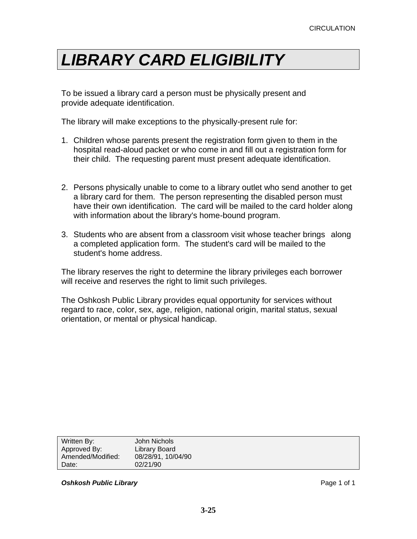## *LIBRARY CARD ELIGIBILITY*

To be issued a library card a person must be physically present and provide adequate identification.

The library will make exceptions to the physically-present rule for:

- 1. Children whose parents present the registration form given to them in the hospital read-aloud packet or who come in and fill out a registration form for their child. The requesting parent must present adequate identification.
- 2. Persons physically unable to come to a library outlet who send another to get a library card for them. The person representing the disabled person must have their own identification. The card will be mailed to the card holder along with information about the library's home-bound program.
- 3. Students who are absent from a classroom visit whose teacher brings along a completed application form. The student's card will be mailed to the student's home address.

The library reserves the right to determine the library privileges each borrower will receive and reserves the right to limit such privileges.

The Oshkosh Public Library provides equal opportunity for services without regard to race, color, sex, age, religion, national origin, marital status, sexual orientation, or mental or physical handicap.

| Written By:       | John Nichols       |
|-------------------|--------------------|
| Approved By:      | Library Board      |
| Amended/Modified: | 08/28/91, 10/04/90 |
| Date:             | 02/21/90           |
|                   |                    |

**Oshkosh Public Library** Page 1 of 1